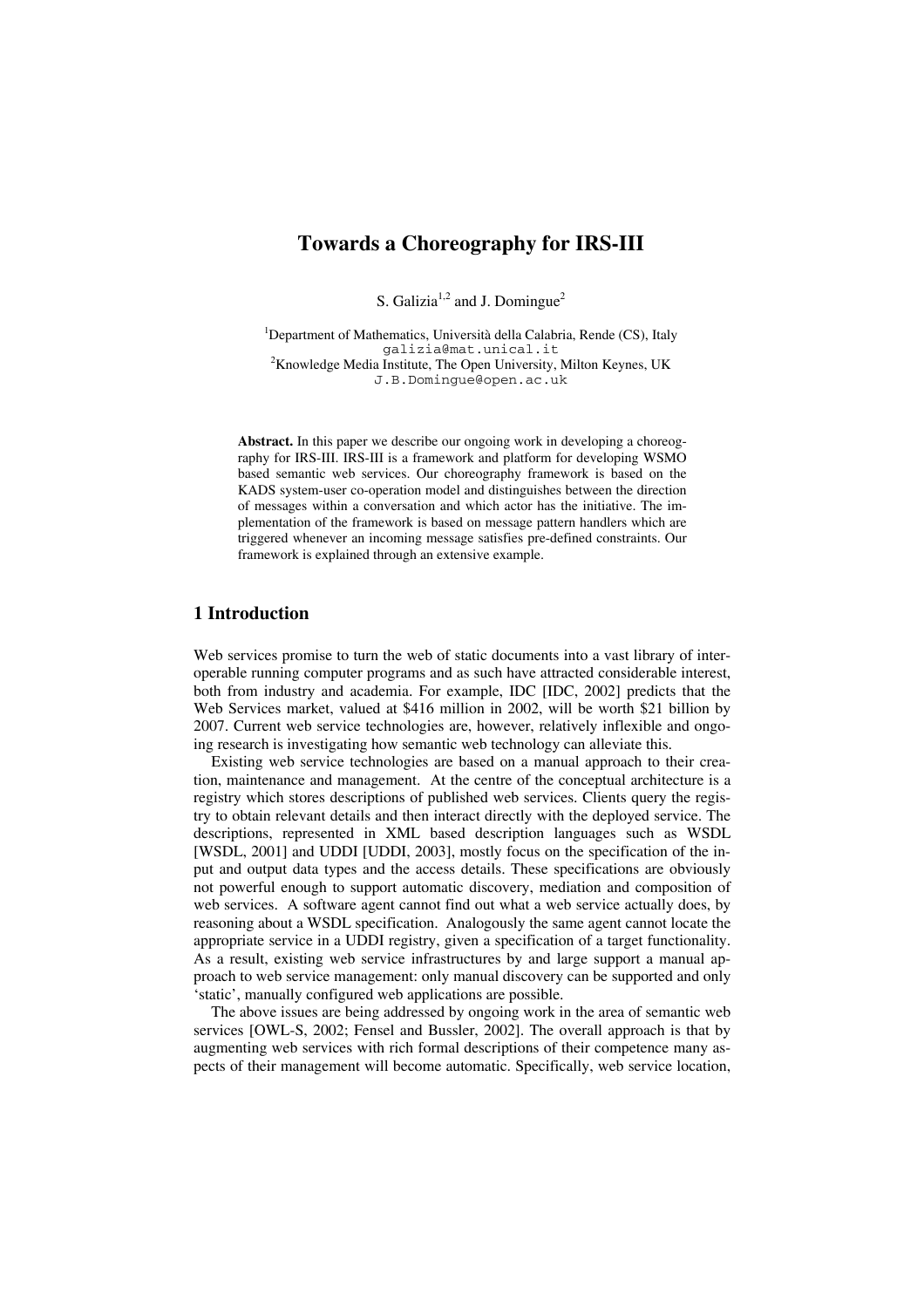# **Towards a Choreography for IRS-III**

S. Galizia<sup>1,2</sup> and J. Domingue<sup>2</sup>

<sup>1</sup>Department of Mathematics, Università della Calabria, Rende (CS), Italy galizia@mat.unical.it <sup>2</sup> Knowledge Media Institute, The Open University, Milton Keynes, UK J.B.Domingue@open.ac.uk

**Abstract.** In this paper we describe our ongoing work in developing a choreography for IRS-III. IRS-III is a framework and platform for developing WSMO based semantic web services. Our choreography framework is based on the KADS system-user co-operation model and distinguishes between the direction of messages within a conversation and which actor has the initiative. The implementation of the framework is based on message pattern handlers which are triggered whenever an incoming message satisfies pre-defined constraints. Our framework is explained through an extensive example.

## **1 Introduction**

Web services promise to turn the web of static documents into a vast library of interoperable running computer programs and as such have attracted considerable interest, both from industry and academia. For example, IDC [IDC, 2002] predicts that the Web Services market, valued at \$416 million in 2002, will be worth \$21 billion by 2007. Current web service technologies are, however, relatively inflexible and ongoing research is investigating how semantic web technology can alleviate this.

Existing web service technologies are based on a manual approach to their creation, maintenance and management. At the centre of the conceptual architecture is a registry which stores descriptions of published web services. Clients query the registry to obtain relevant details and then interact directly with the deployed service. The descriptions, represented in XML based description languages such as WSDL [WSDL, 2001] and UDDI [UDDI, 2003], mostly focus on the specification of the input and output data types and the access details. These specifications are obviously not powerful enough to support automatic discovery, mediation and composition of web services. A software agent cannot find out what a web service actually does, by reasoning about a WSDL specification. Analogously the same agent cannot locate the appropriate service in a UDDI registry, given a specification of a target functionality. As a result, existing web service infrastructures by and large support a manual approach to web service management: only manual discovery can be supported and only 'static', manually configured web applications are possible.

The above issues are being addressed by ongoing work in the area of semantic web services [OWL-S, 2002; Fensel and Bussler, 2002]. The overall approach is that by augmenting web services with rich formal descriptions of their competence many aspects of their management will become automatic. Specifically, web service location,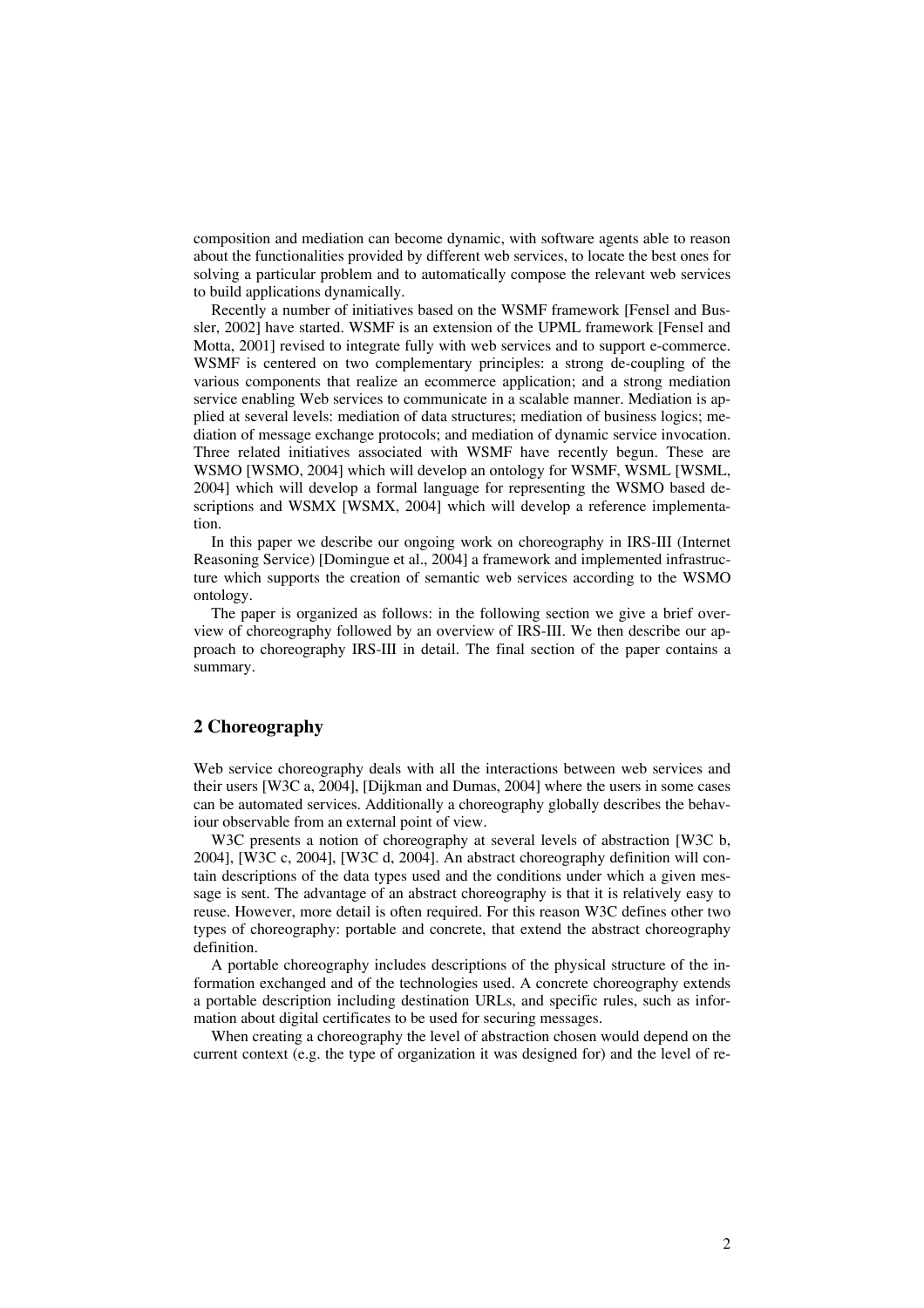composition and mediation can become dynamic, with software agents able to reason about the functionalities provided by different web services, to locate the best ones for solving a particular problem and to automatically compose the relevant web services to build applications dynamically.

Recently a number of initiatives based on the WSMF framework [Fensel and Bussler, 2002] have started. WSMF is an extension of the UPML framework [Fensel and Motta, 2001] revised to integrate fully with web services and to support e-commerce. WSMF is centered on two complementary principles: a strong de-coupling of the various components that realize an ecommerce application; and a strong mediation service enabling Web services to communicate in a scalable manner. Mediation is applied at several levels: mediation of data structures; mediation of business logics; mediation of message exchange protocols; and mediation of dynamic service invocation. Three related initiatives associated with WSMF have recently begun. These are WSMO [WSMO, 2004] which will develop an ontology for WSMF, WSML [WSML, 2004] which will develop a formal language for representing the WSMO based descriptions and WSMX [WSMX, 2004] which will develop a reference implementation.

In this paper we describe our ongoing work on choreography in IRS-III (Internet Reasoning Service) [Domingue et al., 2004] a framework and implemented infrastructure which supports the creation of semantic web services according to the WSMO ontology.

The paper is organized as follows: in the following section we give a brief overview of choreography followed by an overview of IRS-III. We then describe our approach to choreography IRS-III in detail. The final section of the paper contains a summary.

## **2 Choreography**

Web service choreography deals with all the interactions between web services and their users [W3C a, 2004], [Dijkman and Dumas, 2004] where the users in some cases can be automated services. Additionally a choreography globally describes the behaviour observable from an external point of view.

W3C presents a notion of choreography at several levels of abstraction [W3C b, 2004], [W3C c, 2004], [W3C d, 2004]. An abstract choreography definition will contain descriptions of the data types used and the conditions under which a given message is sent. The advantage of an abstract choreography is that it is relatively easy to reuse. However, more detail is often required. For this reason W3C defines other two types of choreography: portable and concrete, that extend the abstract choreography definition.

A portable choreography includes descriptions of the physical structure of the information exchanged and of the technologies used. A concrete choreography extends a portable description including destination URLs, and specific rules, such as information about digital certificates to be used for securing messages.

When creating a choreography the level of abstraction chosen would depend on the current context (e.g. the type of organization it was designed for) and the level of re-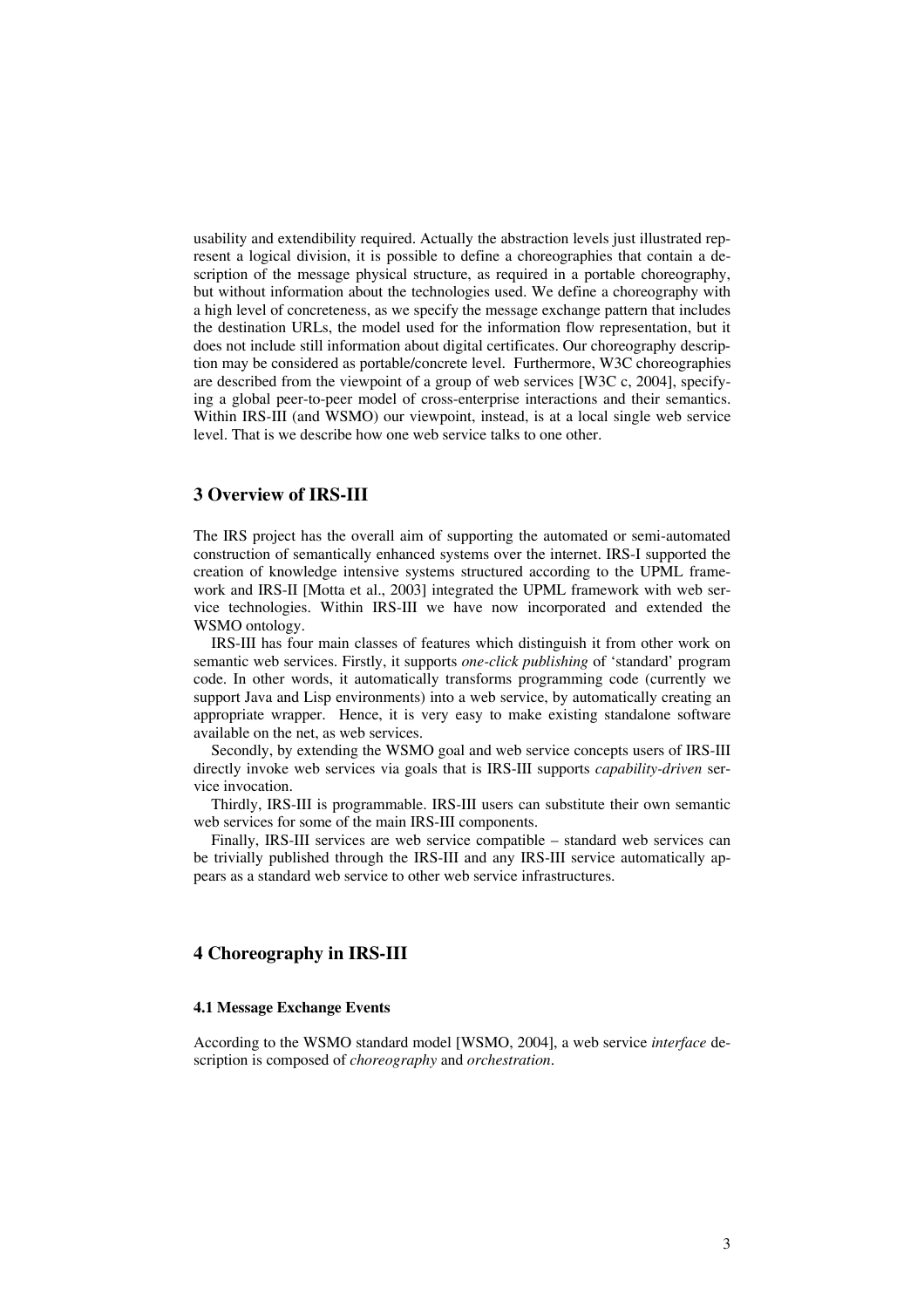usability and extendibility required. Actually the abstraction levels just illustrated represent a logical division, it is possible to define a choreographies that contain a description of the message physical structure, as required in a portable choreography, but without information about the technologies used. We define a choreography with a high level of concreteness, as we specify the message exchange pattern that includes the destination URLs, the model used for the information flow representation, but it does not include still information about digital certificates. Our choreography description may be considered as portable/concrete level. Furthermore, W3C choreographies are described from the viewpoint of a group of web services [W3C c, 2004], specifying a global peer-to-peer model of cross-enterprise interactions and their semantics. Within IRS-III (and WSMO) our viewpoint, instead, is at a local single web service level. That is we describe how one web service talks to one other.

## **3 Overview of IRS-III**

The IRS project has the overall aim of supporting the automated or semi-automated construction of semantically enhanced systems over the internet. IRS-I supported the creation of knowledge intensive systems structured according to the UPML framework and IRS-II [Motta et al., 2003] integrated the UPML framework with web service technologies. Within IRS-III we have now incorporated and extended the WSMO ontology.

IRS-III has four main classes of features which distinguish it from other work on semantic web services. Firstly, it supports *one-click publishing* of 'standard' program code. In other words, it automatically transforms programming code (currently we support Java and Lisp environments) into a web service, by automatically creating an appropriate wrapper. Hence, it is very easy to make existing standalone software available on the net, as web services.

Secondly, by extending the WSMO goal and web service concepts users of IRS-III directly invoke web services via goals that is IRS-III supports *capability-driven* service invocation.

Thirdly, IRS-III is programmable. IRS-III users can substitute their own semantic web services for some of the main IRS-III components.

Finally, IRS-III services are web service compatible – standard web services can be trivially published through the IRS-III and any IRS-III service automatically appears as a standard web service to other web service infrastructures.

## **4 Choreography in IRS-III**

#### **4.1 Message Exchange Events**

According to the WSMO standard model [WSMO, 2004], a web service *interface* description is composed of *choreography* and *orchestration*.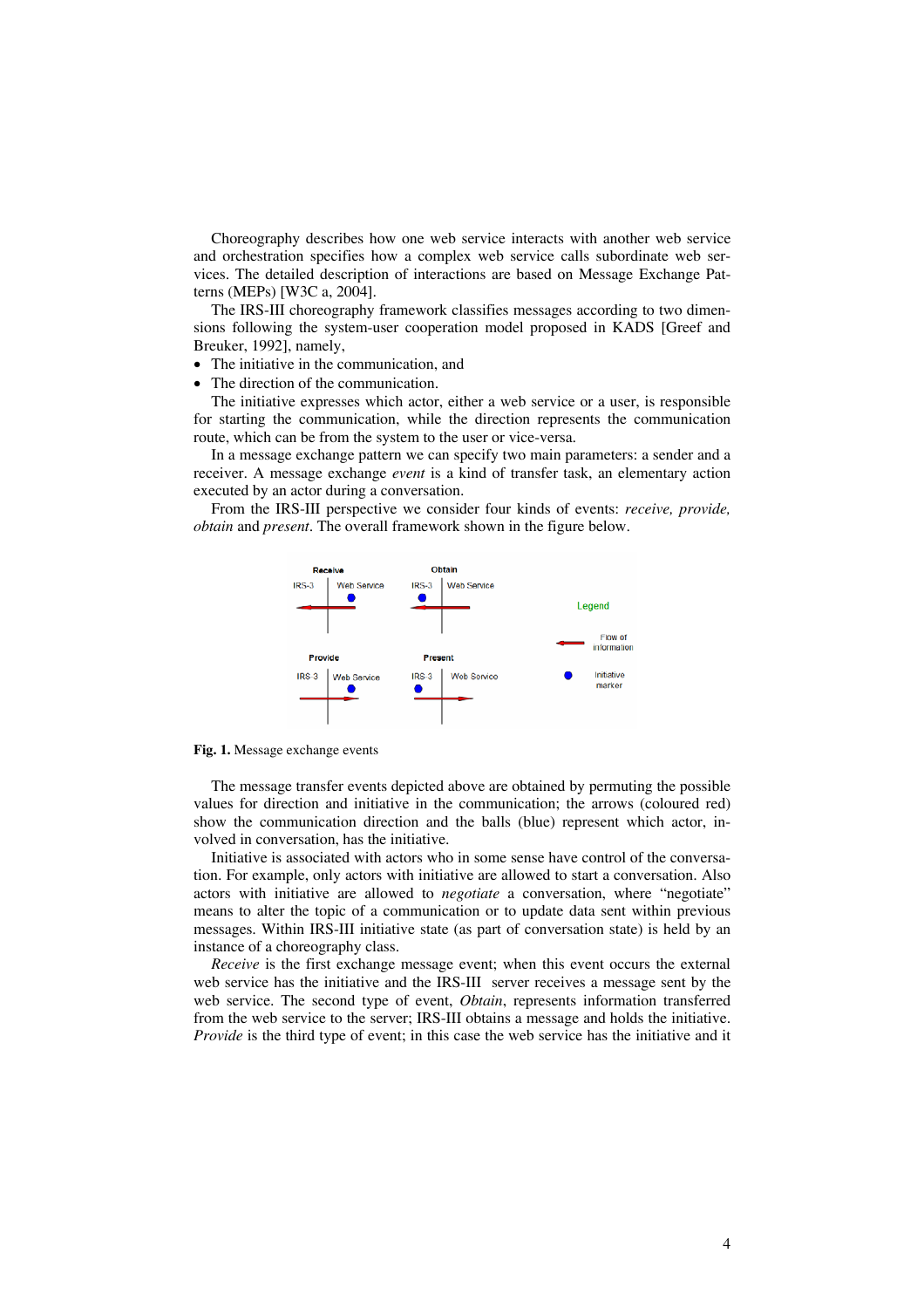Choreography describes how one web service interacts with another web service and orchestration specifies how a complex web service calls subordinate web services. The detailed description of interactions are based on Message Exchange Patterns (MEPs) [W3C a, 2004].

The IRS-III choreography framework classifies messages according to two dimensions following the system-user cooperation model proposed in KADS [Greef and Breuker, 1992], namely,

- The initiative in the communication, and
- The direction of the communication.

The initiative expresses which actor, either a web service or a user, is responsible for starting the communication, while the direction represents the communication route, which can be from the system to the user or vice-versa.

In a message exchange pattern we can specify two main parameters: a sender and a receiver. A message exchange *event* is a kind of transfer task, an elementary action executed by an actor during a conversation.

From the IRS-III perspective we consider four kinds of events: *receive, provide, obtain* and *present*. The overall framework shown in the figure below.



**Fig. 1.** Message exchange events

The message transfer events depicted above are obtained by permuting the possible values for direction and initiative in the communication; the arrows (coloured red) show the communication direction and the balls (blue) represent which actor, involved in conversation, has the initiative.

Initiative is associated with actors who in some sense have control of the conversation. For example, only actors with initiative are allowed to start a conversation. Also actors with initiative are allowed to *negotiate* a conversation, where "negotiate" means to alter the topic of a communication or to update data sent within previous messages. Within IRS-III initiative state (as part of conversation state) is held by an instance of a choreography class.

*Receive* is the first exchange message event; when this event occurs the external web service has the initiative and the IRS-III server receives a message sent by the web service. The second type of event, *Obtain*, represents information transferred from the web service to the server; IRS-III obtains a message and holds the initiative. *Provide* is the third type of event; in this case the web service has the initiative and it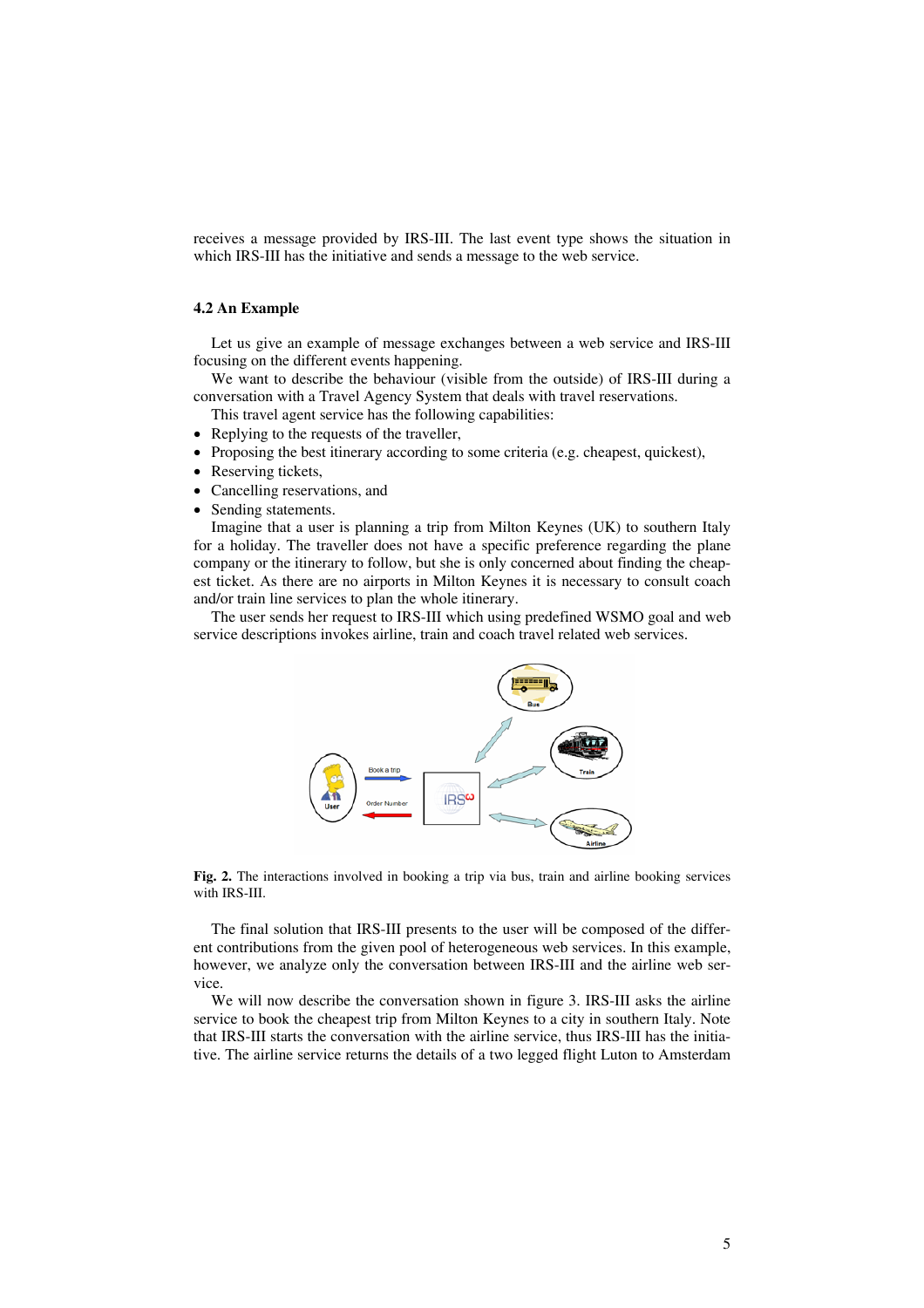receives a message provided by IRS-III. The last event type shows the situation in which IRS-III has the initiative and sends a message to the web service.

#### **4.2 An Example**

Let us give an example of message exchanges between a web service and IRS-III focusing on the different events happening.

We want to describe the behaviour (visible from the outside) of IRS-III during a conversation with a Travel Agency System that deals with travel reservations.

This travel agent service has the following capabilities:

- Replying to the requests of the traveller,
- Proposing the best itinerary according to some criteria (e.g. cheapest, quickest),
- Reserving tickets.
- Cancelling reservations, and
- Sending statements.

Imagine that a user is planning a trip from Milton Keynes (UK) to southern Italy for a holiday. The traveller does not have a specific preference regarding the plane company or the itinerary to follow, but she is only concerned about finding the cheapest ticket. As there are no airports in Milton Keynes it is necessary to consult coach and/or train line services to plan the whole itinerary.

The user sends her request to IRS-III which using predefined WSMO goal and web service descriptions invokes airline, train and coach travel related web services.



**Fig. 2.** The interactions involved in booking a trip via bus, train and airline booking services with IRS-III.

The final solution that IRS-III presents to the user will be composed of the different contributions from the given pool of heterogeneous web services. In this example, however, we analyze only the conversation between IRS-III and the airline web service.

We will now describe the conversation shown in figure 3. IRS-III asks the airline service to book the cheapest trip from Milton Keynes to a city in southern Italy. Note that IRS-III starts the conversation with the airline service, thus IRS-III has the initiative. The airline service returns the details of a two legged flight Luton to Amsterdam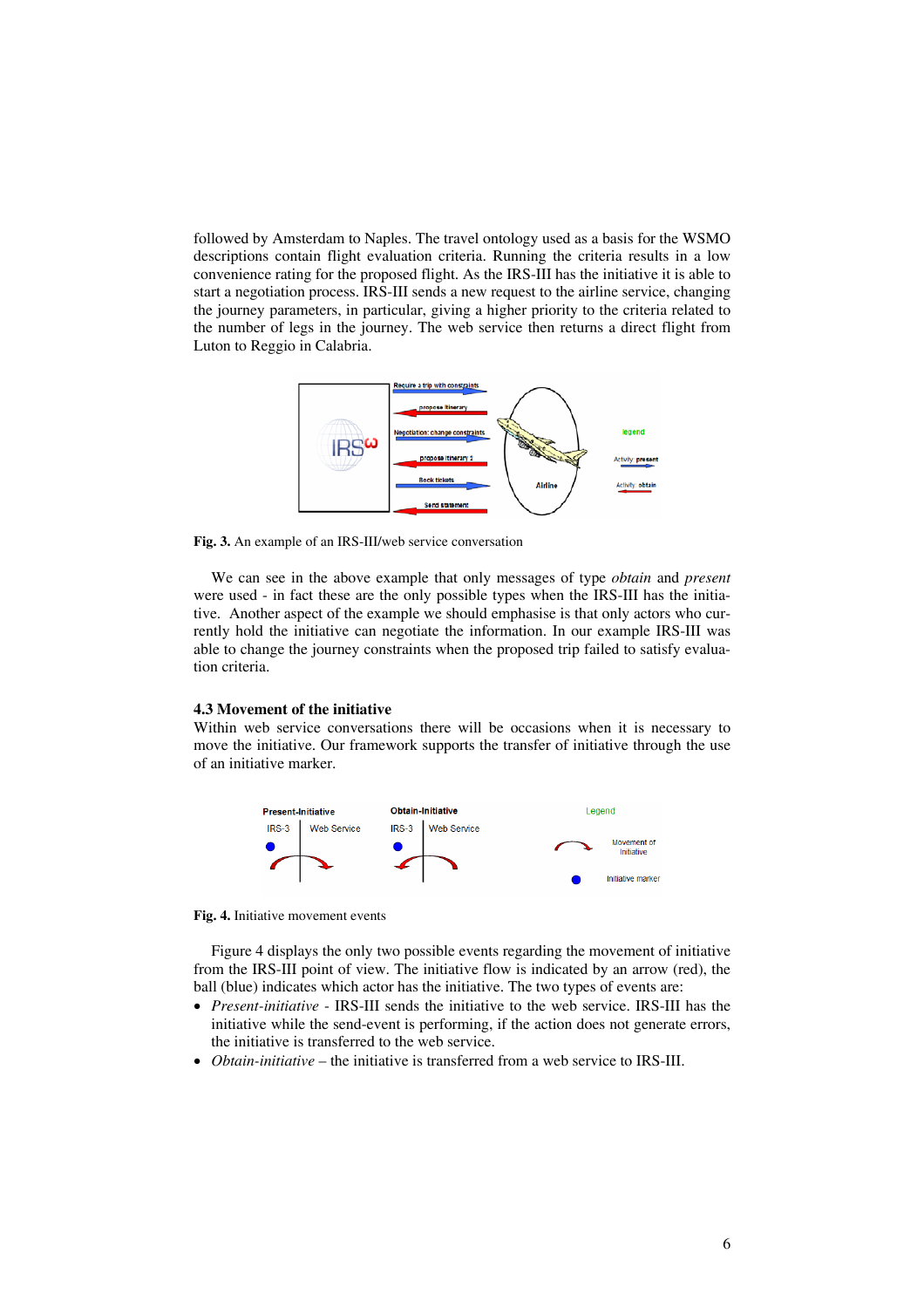followed by Amsterdam to Naples. The travel ontology used as a basis for the WSMO descriptions contain flight evaluation criteria. Running the criteria results in a low convenience rating for the proposed flight. As the IRS-III has the initiative it is able to start a negotiation process. IRS-III sends a new request to the airline service, changing the journey parameters, in particular, giving a higher priority to the criteria related to the number of legs in the journey. The web service then returns a direct flight from Luton to Reggio in Calabria.



**Fig. 3.** An example of an IRS-III/web service conversation

We can see in the above example that only messages of type *obtain* and *present* were used - in fact these are the only possible types when the IRS-III has the initiative. Another aspect of the example we should emphasise is that only actors who currently hold the initiative can negotiate the information. In our example IRS-III was able to change the journey constraints when the proposed trip failed to satisfy evaluation criteria.

#### **4.3 Movement of the initiative**

Within web service conversations there will be occasions when it is necessary to move the initiative. Our framework supports the transfer of initiative through the use of an initiative marker.



**Fig. 4.** Initiative movement events

Figure 4 displays the only two possible events regarding the movement of initiative from the IRS-III point of view. The initiative flow is indicated by an arrow (red), the ball (blue) indicates which actor has the initiative. The two types of events are:

- *Present-initiative* IRS-III sends the initiative to the web service. IRS-III has the initiative while the send-event is performing, if the action does not generate errors, the initiative is transferred to the web service.
- *Obtain-initiative* the initiative is transferred from a web service to IRS-III.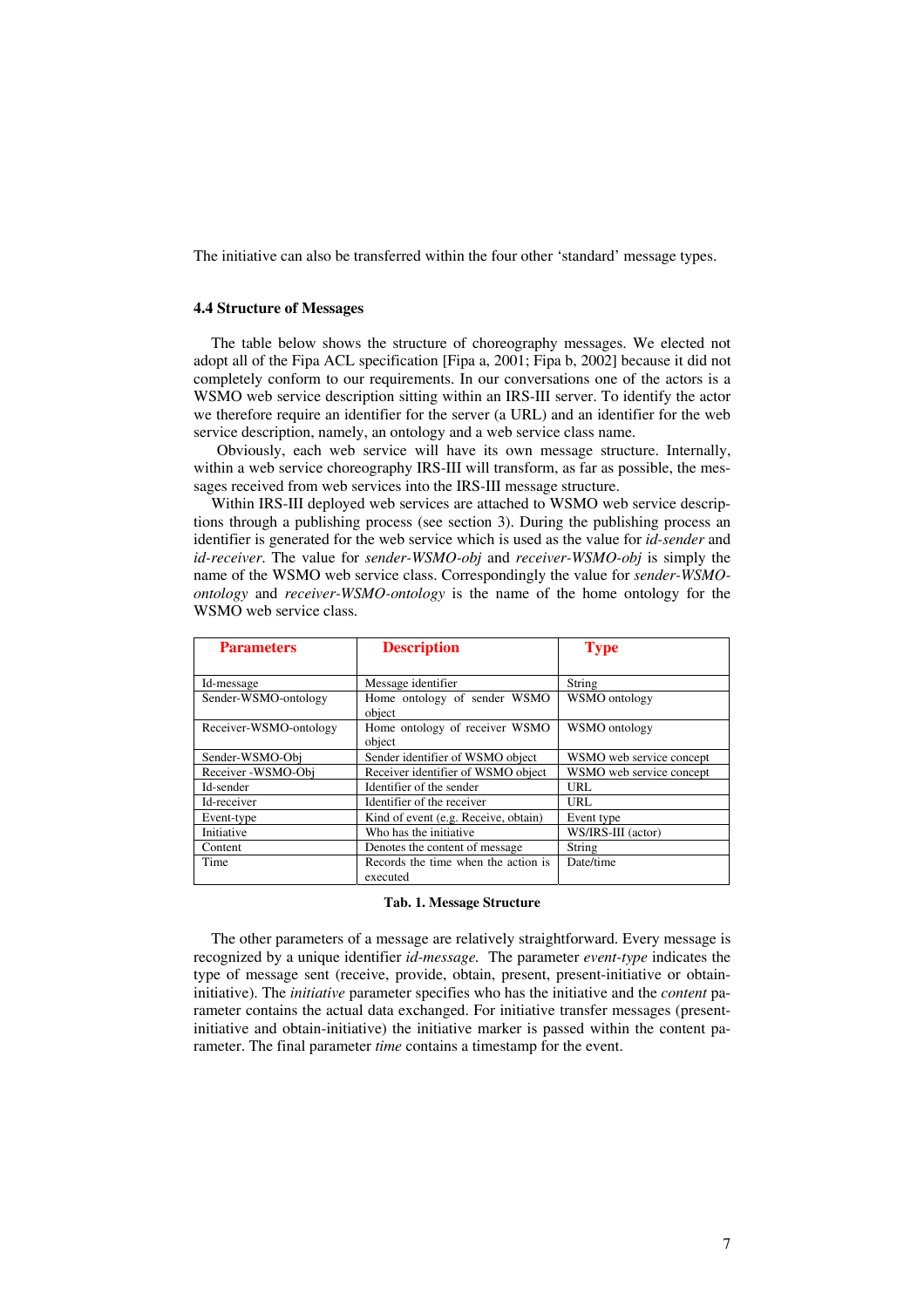The initiative can also be transferred within the four other 'standard' message types.

#### **4.4 Structure of Messages**

The table below shows the structure of choreography messages. We elected not adopt all of the Fipa ACL specification [Fipa a, 2001; Fipa b, 2002] because it did not completely conform to our requirements. In our conversations one of the actors is a WSMO web service description sitting within an IRS-III server. To identify the actor we therefore require an identifier for the server (a URL) and an identifier for the web service description, namely, an ontology and a web service class name.

Obviously, each web service will have its own message structure. Internally, within a web service choreography IRS-III will transform, as far as possible, the messages received from web services into the IRS-III message structure.

Within IRS-III deployed web services are attached to WSMO web service descriptions through a publishing process (see section 3). During the publishing process an identifier is generated for the web service which is used as the value for *id-sender* and *id-receiver*. The value for *sender-WSMO-obj* and *receiver-WSMO-obj* is simply the name of the WSMO web service class. Correspondingly the value for *sender-WSMOontology* and *receiver-WSMO-ontology* is the name of the home ontology for the WSMO web service class.

| <b>Parameters</b>      | <b>Description</b>                              | <b>Type</b>              |
|------------------------|-------------------------------------------------|--------------------------|
|                        |                                                 |                          |
| Id-message             | Message identifier                              | String                   |
| Sender-WSMO-ontology   | Home ontology of sender WSMO<br>object          | WSMO ontology            |
| Receiver-WSMO-ontology | Home ontology of receiver WSMO<br>object        | WSMO ontology            |
| Sender-WSMO-Obj        | Sender identifier of WSMO object                | WSMO web service concept |
| Receiver -WSMO-Obi     | Receiver identifier of WSMO object              | WSMO web service concept |
| Id-sender              | Identifier of the sender                        | URL                      |
| Id-receiver            | Identifier of the receiver                      | URL                      |
| Event-type             | Kind of event (e.g. Receive, obtain)            | Event type               |
| Initiative             | Who has the initiative                          | WS/IRS-III (actor)       |
| Content                | Denotes the content of message                  | String                   |
| Time                   | Records the time when the action is<br>executed | Date/time                |

#### **Tab. 1. Message Structure**

The other parameters of a message are relatively straightforward. Every message is recognized by a unique identifier *id-message.* The parameter *event-type* indicates the type of message sent (receive, provide, obtain, present, present-initiative or obtaininitiative). The *initiative* parameter specifies who has the initiative and the *content* parameter contains the actual data exchanged. For initiative transfer messages (presentinitiative and obtain-initiative) the initiative marker is passed within the content parameter. The final parameter *time* contains a timestamp for the event.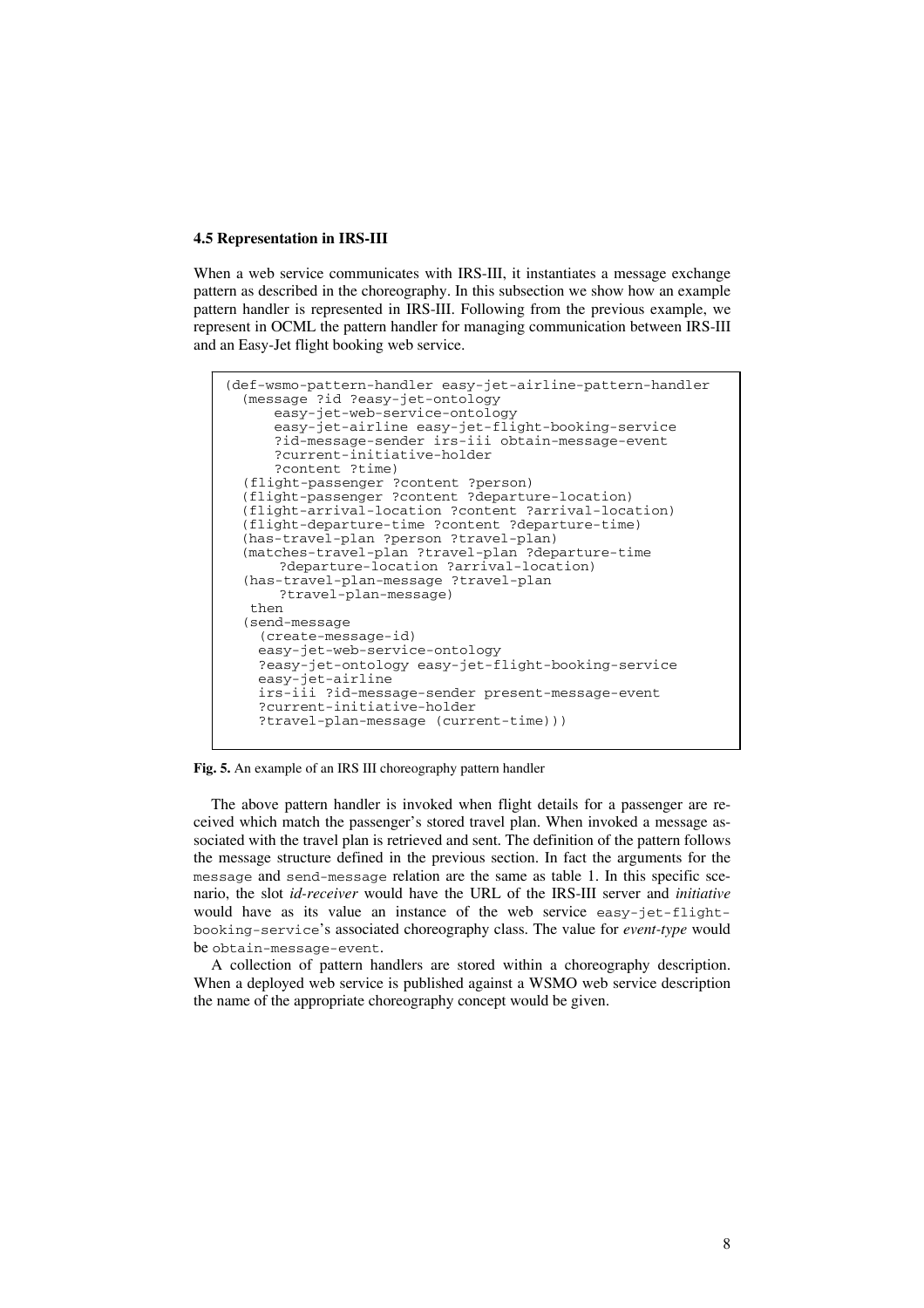#### **4.5 Representation in IRS-III**

When a web service communicates with IRS-III, it instantiates a message exchange pattern as described in the choreography. In this subsection we show how an example pattern handler is represented in IRS-III. Following from the previous example, we represent in OCML the pattern handler for managing communication between IRS-III and an Easy-Jet flight booking web service.

```
(def-wsmo-pattern-handler easy-jet-airline-pattern-handler 
 (message ?id ?easy-jet-ontology 
     easy-jet-web-service-ontology 
     easy-jet-airline easy-jet-flight-booking-service 
     ?id-message-sender irs-iii obtain-message-event 
     ?current-initiative-holder 
     ?content ?time) 
(flight-passenger ?content ?person) 
 (flight-passenger ?content ?departure-location) 
 (flight-arrival-location ?content ?arrival-location) 
 (flight-departure-time ?content ?departure-time) 
 (has-travel-plan ?person ?travel-plan) 
 (matches-travel-plan ?travel-plan ?departure-time 
     ?departure-location ?arrival-location) 
(has-travel-plan-message ?travel-plan 
    ?travel-plan-message) 
  then 
(send-message 
   (create-message-id) 
   easy-jet-web-service-ontology 
   ?easy-jet-ontology easy-jet-flight-booking-service 
   easy-jet-airline 
   irs-iii ?id-message-sender present-message-event 
   ?current-initiative-holder 
   ?travel-plan-message (current-time)))
```


The above pattern handler is invoked when flight details for a passenger are received which match the passenger's stored travel plan. When invoked a message associated with the travel plan is retrieved and sent. The definition of the pattern follows the message structure defined in the previous section. In fact the arguments for the message and send-message relation are the same as table 1. In this specific scenario, the slot *id-receiver* would have the URL of the IRS-III server and *initiative* would have as its value an instance of the web service easy-jet-flightbooking-service's associated choreography class. The value for *event-type* would be obtain-message-event.

A collection of pattern handlers are stored within a choreography description. When a deployed web service is published against a WSMO web service description the name of the appropriate choreography concept would be given.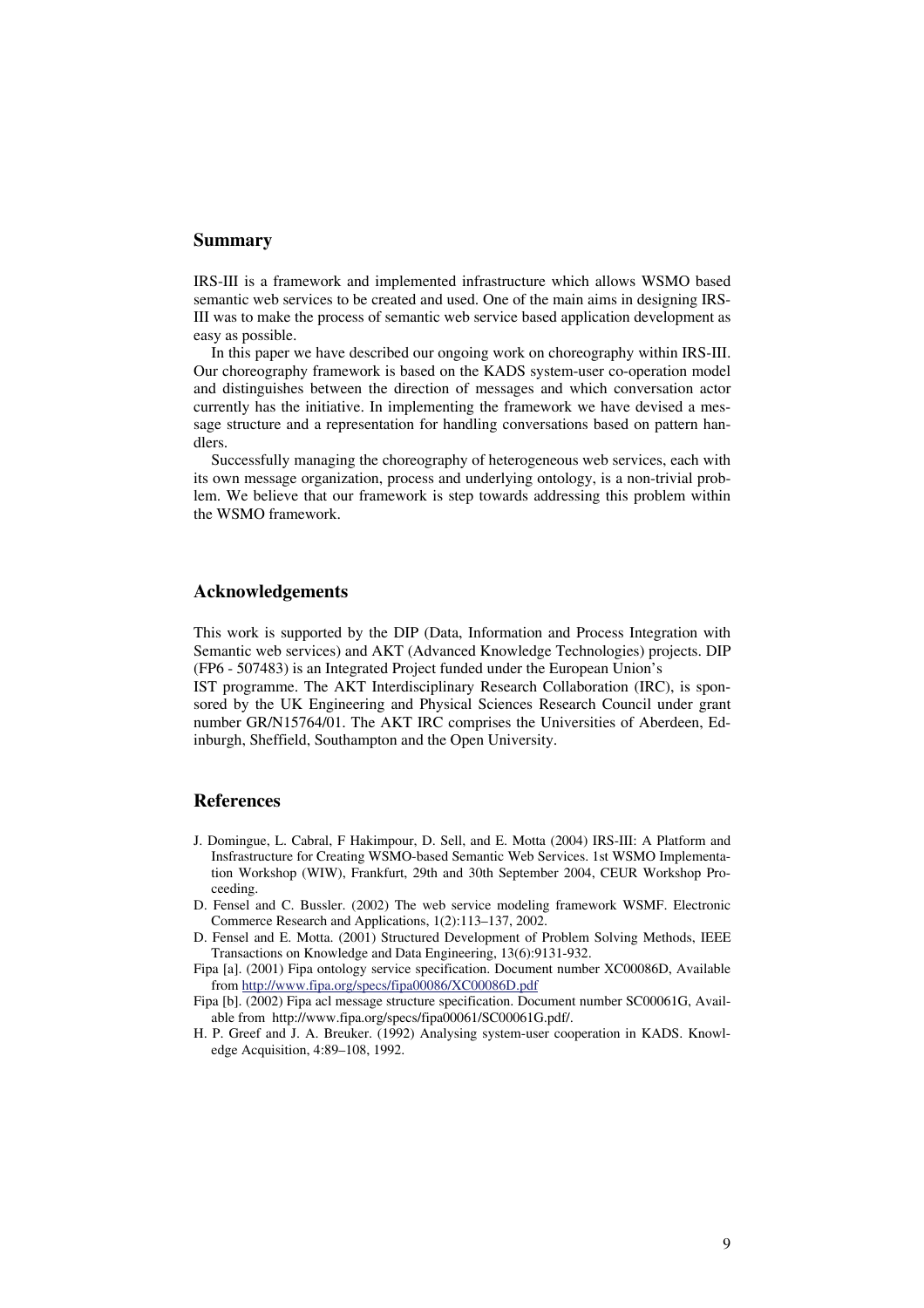### **Summary**

IRS-III is a framework and implemented infrastructure which allows WSMO based semantic web services to be created and used. One of the main aims in designing IRS-III was to make the process of semantic web service based application development as easy as possible.

In this paper we have described our ongoing work on choreography within IRS-III. Our choreography framework is based on the KADS system-user co-operation model and distinguishes between the direction of messages and which conversation actor currently has the initiative. In implementing the framework we have devised a message structure and a representation for handling conversations based on pattern handlers.

Successfully managing the choreography of heterogeneous web services, each with its own message organization, process and underlying ontology, is a non-trivial problem. We believe that our framework is step towards addressing this problem within the WSMO framework.

## **Acknowledgements**

This work is supported by the DIP (Data, Information and Process Integration with Semantic web services) and AKT (Advanced Knowledge Technologies) projects. DIP (FP6 - 507483) is an Integrated Project funded under the European Union's

IST programme. The AKT Interdisciplinary Research Collaboration (IRC), is sponsored by the UK Engineering and Physical Sciences Research Council under grant number GR/N15764/01. The AKT IRC comprises the Universities of Aberdeen, Edinburgh, Sheffield, Southampton and the Open University.

### **References**

- J. Domingue, L. Cabral, F Hakimpour, D. Sell, and E. Motta (2004) IRS-III: A Platform and Insfrastructure for Creating WSMO-based Semantic Web Services. 1st WSMO Implementation Workshop (WIW), Frankfurt, 29th and 30th September 2004, CEUR Workshop Proceeding.
- D. Fensel and C. Bussler. (2002) The web service modeling framework WSMF. Electronic Commerce Research and Applications, 1(2):113–137, 2002.
- D. Fensel and E. Motta. (2001) Structured Development of Problem Solving Methods, IEEE Transactions on Knowledge and Data Engineering, 13(6):9131-932.
- Fipa [a]. (2001) Fipa ontology service specification. Document number XC00086D, Available from <http://www.fipa.org/specs/fipa00086/XC00086D.pdf>
- Fipa [b]. (2002) Fipa acl message structure specification. Document number SC00061G, Available from http://www.fipa.org/specs/fipa00061/SC00061G.pdf/.
- H. P. Greef and J. A. Breuker. (1992) Analysing system-user cooperation in KADS. Knowledge Acquisition, 4:89–108, 1992.